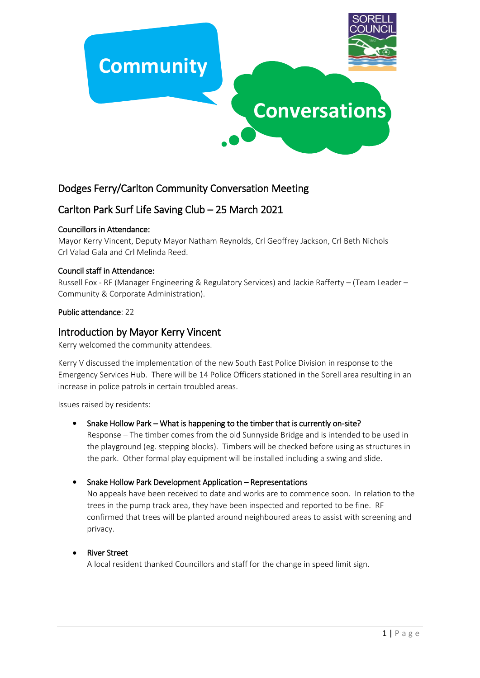

# Dodges Ferry/Carlton Community Conversation Meeting

# Carlton Park Surf Life Saving Club – 25 March 2021

## Councillors in Attendance:

Mayor Kerry Vincent, Deputy Mayor Natham Reynolds, Crl Geoffrey Jackson, Crl Beth Nichols Crl Valad Gala and Crl Melinda Reed.

## Council staff in Attendance:

Russell Fox - RF (Manager Engineering & Regulatory Services) and Jackie Rafferty – (Team Leader – Community & Corporate Administration).

#### Public attendance: 22

# Introduction by Mayor Kerry Vincent

Kerry welcomed the community attendees.

Kerry V discussed the implementation of the new South East Police Division in response to the Emergency Services Hub. There will be 14 Police Officers stationed in the Sorell area resulting in an increase in police patrols in certain troubled areas.

Issues raised by residents:

#### • Snake Hollow Park – What is happening to the timber that is currently on-site?

Response – The timber comes from the old Sunnyside Bridge and is intended to be used in the playground (eg. stepping blocks). Timbers will be checked before using as structures in the park. Other formal play equipment will be installed including a swing and slide.

#### Snake Hollow Park Development Application – Representations

No appeals have been received to date and works are to commence soon. In relation to the trees in the pump track area, they have been inspected and reported to be fine. RF confirmed that trees will be planted around neighboured areas to assist with screening and privacy.

#### River Street

A local resident thanked Councillors and staff for the change in speed limit sign.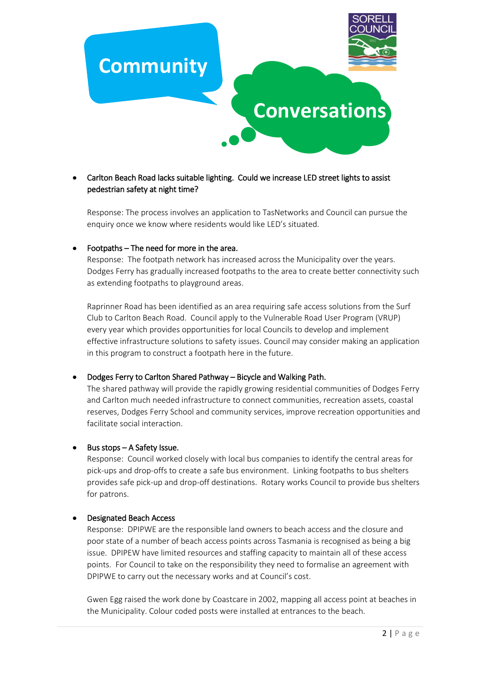

# Carlton Beach Road lacks suitable lighting. Could we increase LED street lights to assist pedestrian safety at night time?

Response: The process involves an application to TasNetworks and Council can pursue the enquiry once we know where residents would like LED's situated.

#### • Footpaths – The need for more in the area.

Response: The footpath network has increased across the Municipality over the years. Dodges Ferry has gradually increased footpaths to the area to create better connectivity such as extending footpaths to playground areas.

Raprinner Road has been identified as an area requiring safe access solutions from the Surf Club to Carlton Beach Road. Council apply to the Vulnerable Road User Program (VRUP) every year which provides opportunities for local Councils to develop and implement effective infrastructure solutions to safety issues. Council may consider making an application in this program to construct a footpath here in the future.

#### Dodges Ferry to Carlton Shared Pathway – Bicycle and Walking Path.

The shared pathway will provide the rapidly growing residential communities of Dodges Ferry and Carlton much needed infrastructure to connect communities, recreation assets, coastal reserves, Dodges Ferry School and community services, improve recreation opportunities and facilitate social interaction.

#### • Bus stops – A Safety Issue.

Response: Council worked closely with local bus companies to identify the central areas for pick-ups and drop-offs to create a safe bus environment. Linking footpaths to bus shelters provides safe pick-up and drop-off destinations. Rotary works Council to provide bus shelters for patrons.

#### Designated Beach Access

Response: DPIPWE are the responsible land owners to beach access and the closure and poor state of a number of beach access points across Tasmania is recognised as being a big issue. DPIPEW have limited resources and staffing capacity to maintain all of these access points. For Council to take on the responsibility they need to formalise an agreement with DPIPWE to carry out the necessary works and at Council's cost.

Gwen Egg raised the work done by Coastcare in 2002, mapping all access point at beaches in the Municipality. Colour coded posts were installed at entrances to the beach.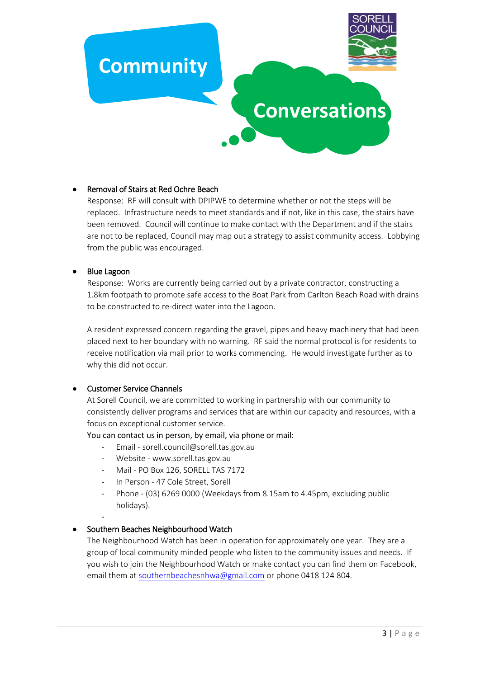# **Community**



# • Removal of Stairs at Red Ochre Beach

Response: RF will consult with DPIPWE to determine whether or not the steps will be replaced. Infrastructure needs to meet standards and if not, like in this case, the stairs have been removed. Council will continue to make contact with the Department and if the stairs are not to be replaced, Council may map out a strategy to assist community access. Lobbying from the public was encouraged.

#### Blue Lagoon

Response: Works are currently being carried out by a private contractor, constructing a 1.8km footpath to promote safe access to the Boat Park from Carlton Beach Road with drains to be constructed to re-direct water into the Lagoon.

A resident expressed concern regarding the gravel, pipes and heavy machinery that had been placed next to her boundary with no warning. RF said the normal protocol is for residents to receive notification via mail prior to works commencing. He would investigate further as to why this did not occur.

#### **•** Customer Service Channels

At Sorell Council, we are committed to working in partnership with our community to consistently deliver programs and services that are within our capacity and resources, with a focus on exceptional customer service.

You can contact us in person, by email, via phone or mail:

- Email sorell.council@sorell.tas.gov.au
- Website www.sorell.tas.gov.au
- Mail PO Box 126, SORELL TAS 7172
- In Person 47 Cole Street, Sorell
- Phone (03) 6269 0000 (Weekdays from 8.15am to 4.45pm, excluding public holidays).
- -

# Southern Beaches Neighbourhood Watch

The Neighbourhood Watch has been in operation for approximately one year. They are a group of local community minded people who listen to the community issues and needs. If you wish to join the Neighbourhood Watch or make contact you can find them on Facebook, email them at [southernbeachesnhwa@gmail.com](mailto:southernbeachesnhwa@gmail.com) or phone 0418 124 804.